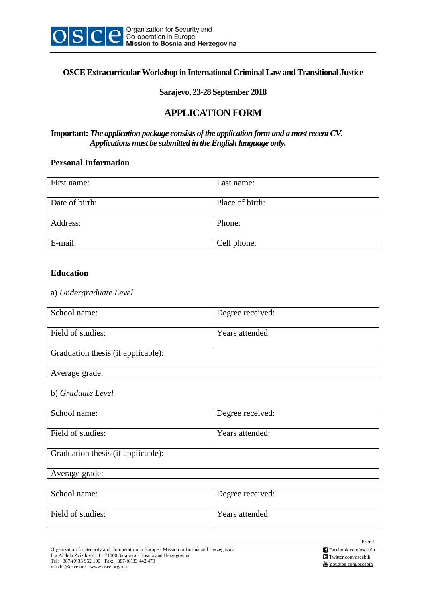

## **OSCE Extracurricular Workshop in International Criminal Law and Transitional Justice**

## **Sarajevo, 23-28 September 2018**

# **APPLICATION FORM**

## **Important:** *The application package consists of the application form and a most recent CV***.** *Applications must be submitted in the English language only.*

#### **Personal Information**

| First name:    | Last name:      |
|----------------|-----------------|
| Date of birth: | Place of birth: |
| Address:       | Phone:          |
| E-mail:        | Cell phone:     |

## **Education**

## a) *Undergraduate Level*

| School name:                       | Degree received: |
|------------------------------------|------------------|
| Field of studies:                  | Years attended:  |
| Graduation thesis (if applicable): |                  |
| Average grade:                     |                  |

## b) *Graduate Level*

| School name:                       | Degree received: |
|------------------------------------|------------------|
| Field of studies:                  | Years attended:  |
| Graduation thesis (if applicable): |                  |
| Average grade:                     |                  |

| School name:      | Degree received: |
|-------------------|------------------|
| Field of studies: | Years attended:  |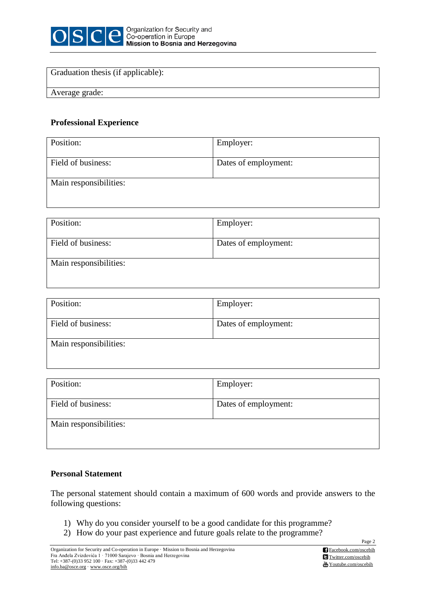

## Graduation thesis (if applicable):

Average grade:

## **Professional Experience**

| Position:              | Employer:            |
|------------------------|----------------------|
| Field of business:     | Dates of employment: |
| Main responsibilities: |                      |

| Position:              | Employer:            |
|------------------------|----------------------|
| Field of business:     | Dates of employment: |
| Main responsibilities: |                      |

| Position:              | Employer:            |
|------------------------|----------------------|
| Field of business:     | Dates of employment: |
| Main responsibilities: |                      |

| Position:              | Employer:            |
|------------------------|----------------------|
| Field of business:     | Dates of employment: |
| Main responsibilities: |                      |

## **Personal Statement**

The personal statement should contain a maximum of 600 words and provide answers to the following questions:

- 1) Why do you consider yourself to be a good candidate for this programme?
- 2) How do your past experience and future goals relate to the programme?